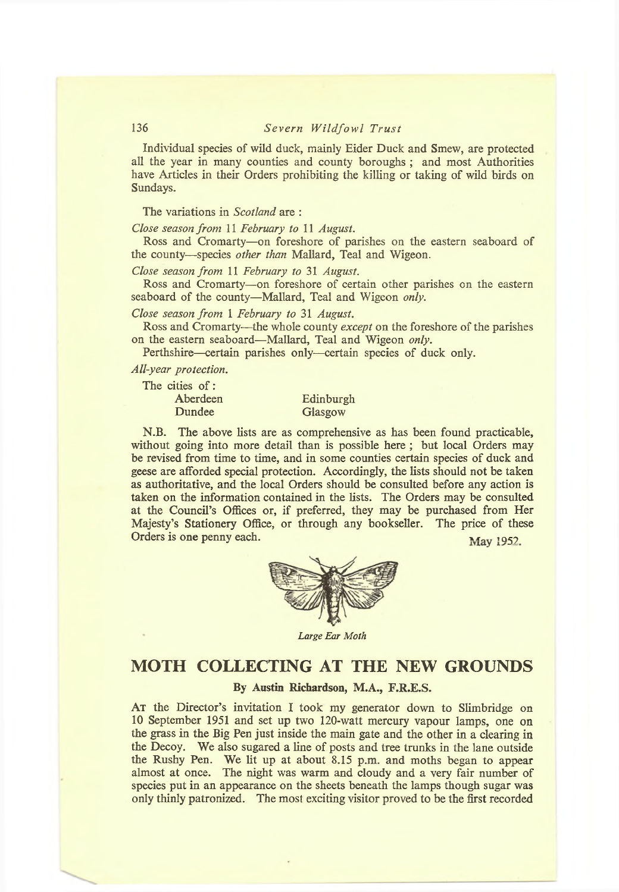## **136** *Severn Wildfowl Trust*

**Individual species of wild duck, mainly Eider Duck and Smew, are protected all the year in many counties and county boroughs ; and most Authorities have Articles in their Orders prohibiting the killing or taking of wild birds on Sundays.**

**The variations in** *Scotland* **are :**

*Close season from* **11** *February to* **11** *August.*

**Ross and Cromarty—on foreshore of parishes on the eastern seaboard of the county-—species** *other than* **Mallard, Teal and Wigeon.**

*Close season from* **11** *February to* **31** *August.*

**Ross and Cromarty—on foreshore of certain other parishes on the eastern seaboard of the county—Mallard, Teal and Wigeon** *only.*

*Close season from* **1** *February to* **31** *August.*

**Ross and Cromarty-—the whole county** *except* **on the foreshore of the parishes on the eastern seaboard—Mallard, Teal and Wigeon** *only.*

**Perthshire—certain parishes only—certain species of duck only.**

*All-year protection.*

**The cities of :**

| $-1$ $-1$ |           |
|-----------|-----------|
| Aberdeen  | Edinburgh |
| Dundee    | Glasgow   |

**N.B. The above lists are as comprehensive as has been found practicable, without going into more detail than is possible here ; but local Orders may be revised from time to time, and in some counties certain species of duck and geese are afforded special protection. Accordingly, the lists should not be taken as authoritative, and the local Orders should be consulted before any action is taken on the information contained in the lists. The Orders may be consulted at the Council's Offices or, if preferred, they may be purchased from Her Majesty's Stationery Office, or through any bookseller. The price of these Orders is one penny each.** Way 1952.





*Large Ear Moth*

# **MOTH COLLECTING AT THE NEW GROUNDS**

### By Austin Richardson, M.A., F.R.E.S.

**At the Director's invitation I took my generator down to Slimbridge on 10 September 1951 and set up two 120-watt mercury vapour lamps, one on the grass in the Big Pen just inside the main gate and the other in a clearing in the Decoy. We also sugared a line of posts and tree trunks in the lane outside the Rushy Pen. We lit up at about 8.15 p.m. and moths began to appear almost at once. The night was warm and cloudy and a very fair number of species put in an appearance on the sheets beneath the lamps though sugar was only thinly patronized. The most exciting visitor proved to be the first recorded**